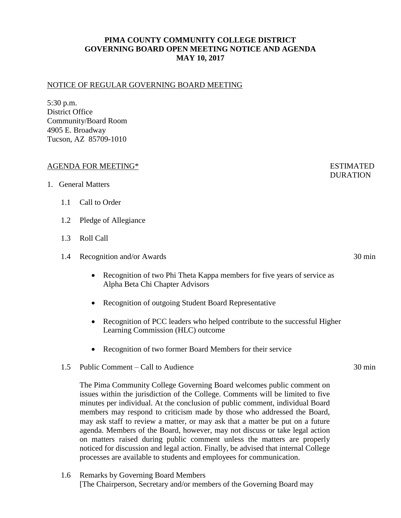# **PIMA COUNTY COMMUNITY COLLEGE DISTRICT GOVERNING BOARD OPEN MEETING NOTICE AND AGENDA MAY 10, 2017**

#### NOTICE OF REGULAR GOVERNING BOARD MEETING

5:30 p.m. District Office Community/Board Room 4905 E. Broadway Tucson, AZ 85709-1010

#### AGENDA FOR MEETING\* ESTIMATED

- 1. General Matters
	- 1.1 Call to Order
	- 1.2 Pledge of Allegiance
	- 1.3 Roll Call
	- 1.4 Recognition and/or Awards 30 min
		- Recognition of two Phi Theta Kappa members for five years of service as Alpha Beta Chi Chapter Advisors
		- Recognition of outgoing Student Board Representative
		- Recognition of PCC leaders who helped contribute to the successful Higher Learning Commission (HLC) outcome
		- Recognition of two former Board Members for their service
	- 1.5 Public Comment Call to Audience 30 min

The Pima Community College Governing Board welcomes public comment on issues within the jurisdiction of the College. Comments will be limited to five minutes per individual. At the conclusion of public comment, individual Board members may respond to criticism made by those who addressed the Board, may ask staff to review a matter, or may ask that a matter be put on a future agenda. Members of the Board, however, may not discuss or take legal action on matters raised during public comment unless the matters are properly noticed for discussion and legal action. Finally, be advised that internal College processes are available to students and employees for communication.

1.6 Remarks by Governing Board Members [The Chairperson, Secretary and/or members of the Governing Board may **DURATION**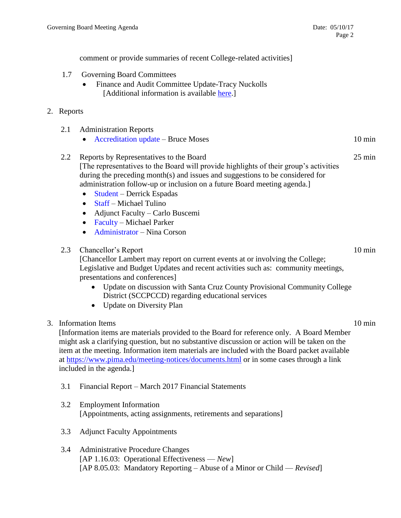comment or provide summaries of recent College-related activities]

- 1.7 Governing Board Committees
	- Finance and Audit Committee Update-Tracy Nuckolls [Additional information is available [here.](https://www.pima.edu/about-pima/board-of-governors/board-committees/finance-audit-committee/docs-agendas-minutes/Draft-Finance-and-Audit-Committee-Minutes-04212017.pdf)]

## 2. Reports

|  | 2.1 Administration Reports |  |
|--|----------------------------|--|
|--|----------------------------|--|

- Accreditation update Bruce Moses 10 min
- 2.2 Reports by Representatives to the Board 25 min [The representatives to the Board will provide highlights of their group's activities during the preceding month(s) and issues and suggestions to be considered for administration follow-up or inclusion on a future Board meeting agenda.]
	- Student Derrick Espadas
	- Staff Michael Tulino
	- Adjunct Faculty Carlo Buscemi
	- Faculty Michael Parker
	- Administrator Nina Corson

## 2.3 Chancellor's Report 10 min

[Chancellor Lambert may report on current events at or involving the College; Legislative and Budget Updates and recent activities such as: community meetings, presentations and conferences]

- Update on discussion with Santa Cruz County Provisional Community College District (SCCPCCD) regarding educational services
- Update on Diversity Plan

## 3. Information Items 10 min

[Information items are materials provided to the Board for reference only. A Board Member might ask a clarifying question, but no substantive discussion or action will be taken on the item at the meeting. Information item materials are included with the Board packet available at <https://www.pima.edu/meeting-notices/documents.html> or in some cases through a link included in the agenda.]

- 3.1 Financial Report March 2017 Financial Statements
- 3.2 Employment Information [Appointments, acting assignments, retirements and separations]
- 3.3 Adjunct Faculty Appointments
- 3.4 Administrative Procedure Changes [AP 1.16.03: Operational Effectiveness — *New*] [AP 8.05.03: Mandatory Reporting – Abuse of a Minor or Child — *Revised*]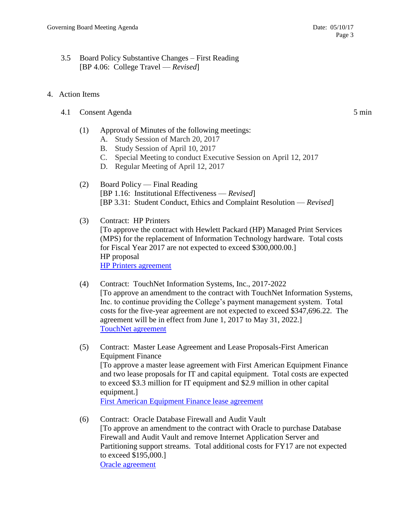- 3.5 Board Policy Substantive Changes First Reading [BP 4.06: College Travel — *Revised*]
- 4. Action Items
	- 4.1 Consent Agenda 5 min
		- (1) Approval of Minutes of the following meetings:
			- A. Study Session of March 20, 2017
			- B. Study Session of April 10, 2017
			- C. Special Meeting to conduct Executive Session on April 12, 2017
			- D. Regular Meeting of April 12, 2017
		- (2) Board Policy Final Reading [BP 1.16: Institutional Effectiveness — *Revised*] [BP 3.31: Student Conduct, Ethics and Complaint Resolution — *Revised*]
		- (3) Contract: HP Printers [To approve the contract with Hewlett Packard (HP) Managed Print Services (MPS) for the replacement of Information Technology hardware. Total costs for Fiscal Year 2017 are not expected to exceed \$300,000.00.] HP proposal [HP Printers agreement](https://www.pima.edu/meeting-notices-support/2017-docs/201705-10-hp-managed-print-services.pdf)
		- (4) Contract: TouchNet Information Systems, Inc., 2017-2022 [To approve an amendment to the contract with TouchNet Information Systems, Inc. to continue providing the College's payment management system. Total costs for the five-year agreement are not expected to exceed \$347,696.22. The agreement will be in effect from June 1, 2017 to May 31, 2022.] [TouchNet agreement](https://www.pima.edu/meeting-notices-support/2017-docs/201705-10-touchnet-agreement.pdf)
		- (5) Contract: Master Lease Agreement and Lease Proposals-First American Equipment Finance [To approve a master lease agreement with First American Equipment Finance and two lease proposals for IT and capital equipment. Total costs are expected to exceed \$3.3 million for IT equipment and \$2.9 million in other capital equipment.] [First American Equipment Finance lease agreement](https://www.pima.edu/meeting-notices-support/2017-docs/201705-10-first-american-equipment-lease.pdf)
		- (6) Contract: Oracle Database Firewall and Audit Vault [To approve an amendment to the contract with Oracle to purchase Database Firewall and Audit Vault and remove Internet Application Server and Partitioning support streams. Total additional costs for FY17 are not expected to exceed \$195,000.] [Oracle agreement](https://www.pima.edu/meeting-notices-support/2017-docs/201705-10-oracle-order-audit-vault.pdf)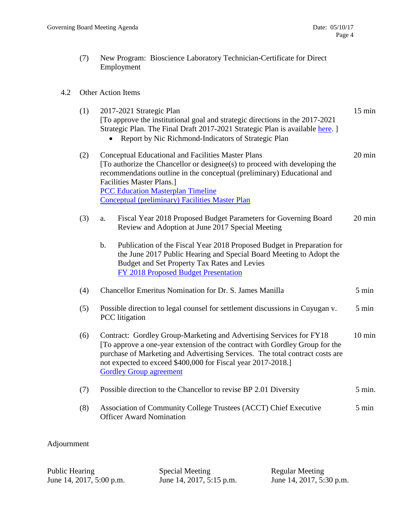(7) New Program: Bioscience Laboratory Technician-Certificate for Direct Employment

#### 4.2 Other Action Items

| (1) | 2017-2021 Strategic Plan<br>[To approve the institutional goal and strategic directions in the 2017-2021]<br>Strategic Plan. The Final Draft 2017-2021 Strategic Plan is available here. ]<br>• Report by Nic Richmond-Indicators of Strategic Plan                                                                                                          | $15 \text{ min}$ |
|-----|--------------------------------------------------------------------------------------------------------------------------------------------------------------------------------------------------------------------------------------------------------------------------------------------------------------------------------------------------------------|------------------|
| (2) | <b>Conceptual Educational and Facilities Master Plans</b><br>[To authorize the Chancellor or designee(s) to proceed with developing the<br>recommendations outline in the conceptual (preliminary) Educational and<br><b>Facilities Master Plans.]</b><br><b>PCC Education Masterplan Timeline</b><br><b>Conceptual (preliminary) Facilities Master Plan</b> | 20 min           |
| (3) | Fiscal Year 2018 Proposed Budget Parameters for Governing Board<br>a.<br>Review and Adoption at June 2017 Special Meeting                                                                                                                                                                                                                                    | $20 \text{ min}$ |
|     | Publication of the Fiscal Year 2018 Proposed Budget in Preparation for<br>$\mathbf b$ .<br>the June 2017 Public Hearing and Special Board Meeting to Adopt the<br>Budget and Set Property Tax Rates and Levies<br>FY 2018 Proposed Budget Presentation                                                                                                       |                  |
| (4) | <b>Chancellor Emeritus Nomination for Dr. S. James Manilla</b>                                                                                                                                                                                                                                                                                               | 5 min            |
| (5) | Possible direction to legal counsel for settlement discussions in Cuyugan v.<br><b>PCC</b> litigation                                                                                                                                                                                                                                                        | 5 min            |
| (6) | Contract: Gordley Group-Marketing and Advertising Services for FY18<br>[To approve a one-year extension of the contract with Gordley Group for the<br>purchase of Marketing and Advertising Services. The total contract costs are<br>not expected to exceed \$400,000 for Fiscal year 2017-2018.]<br><b>Gordley Group agreement</b>                         | $10 \text{ min}$ |
| (7) | Possible direction to the Chancellor to revise BP 2.01 Diversity                                                                                                                                                                                                                                                                                             | 5 min.           |
| (8) | Association of Community College Trustees (ACCT) Chief Executive<br><b>Officer Award Nomination</b>                                                                                                                                                                                                                                                          | 5 min            |
|     |                                                                                                                                                                                                                                                                                                                                                              |                  |

Adjournment

Public Hearing Special Meeting Regular Meeting

June 14, 2017, 5:00 p.m. June 14, 2017, 5:15 p.m. June 14, 2017, 5:30 p.m.